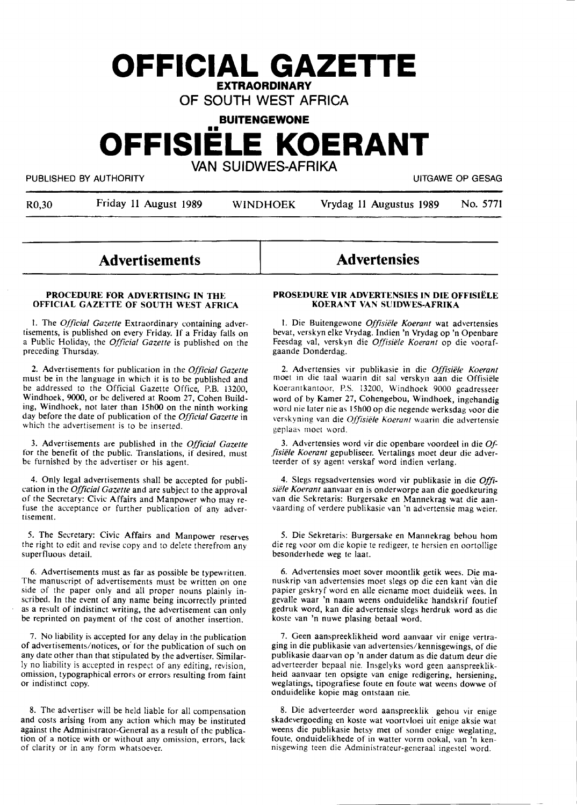## **OFFICIAL GAZETTE EXTRAORDINARY**

OF SOUTH WEST AFRICA

**BUITENGEWONE** 

# •• **OFFISIELE KOERANT**

VAN SUIDWES-AFRIKA

PUBLISHED BY AUTHORITY **EXECUTE A SECURE 2018 THE SECURE 2019 OF SESAGRAPH** UITGAWE OP GESAG

R0,30 Friday 11 August 1989 WINDHOEK Vrydag 11 Augustus 1989 No. 5771

### **Advertisements**

#### **PROCEDURE FOR ADVERTISING IN THE OFFICIAL GAZETTE OF SOUTH WEST AFRICA**

I. The *Official Gazette* Extraordinary containing advertisements, is published on every Friday. If a Friday falls on a Public Holiday, the *Official Gazette* is published on the preceding Thursday.

2. Advertisements for publication in the *Official Gazette*  must be in the language in which it is to be published and be addressed to the Official Gazette Office, P.B. 13200, Windhoek, 9000, or be delivered at Room 27, Cohen Building, Windhoek, not later than 15h00 on the ninth working day before the date of publication of the *Official Gazette* in which the advertisement is to be inserted.

3. Advertisements are published in the *Official Gazette*  for the benefit of the public. Translations, if desired, must be furnished by the advertiser or his agent.

4. Only legal advertisements shall be accepted for publication in the *Official Gazette* and are subject to the approval of the Secretary: Civic Affairs and Manpower who may refuse the acceptance or further publication of any advertisement.

*5.* The Secretary: Civic Affairs and Manpower reserves the right to edit and revise copy and to delete therefrom any superfluous detail.

6. Advertisements must as far as possible be typewritten. The manuscript of advertisements must be written on one side of the paper only and all proper nouns plainly inscribed. In the event of any name being incorrectly printed as a result of indistinct writing, the advertisement can only be reprinted on payment of the cost of another insertion.

7. No liability is accepted for any delay in the publication of advertisements/notices, or for the publication of such on any date other than that stipulated by the advertiser. Similarly no liability is accepted in respect of any editing, revision, omission, typographical errors or errors resulting from faint or indistinct copy.

8. The advertiser will be held liable for all compensation and costs arising from any action which may be instituted against the Administrator-General as a result of the publication of a notice with or without any omission, errors, lack of clarity or in any form whatsoever.

# **Advertensies**

#### **PROSEDURE VIR ADVERTENSIES IN DIE OFFISIELE KOERANT VAN SUIDWES-AFRIKA**

1. Die Buitengewone *Offisiële Koerant* wat advertensies bevat, verskyn elke Vrydag. lndien 'n Vrydag op 'n Openbare Feesdag val, verskyn die *Offisiële Koerant* op die voorafgaande Donderdag.

2. Advertensies vir publikasie in die *Offisiele Koerant*  moet in clie taal waarin dit sat verskyn aan die Offisiele Koerantkantoor, P.S. 13200, Windhoek 9000 geadresseer word of by Kamer 27, Cohengebou, Windhoek, ingehandig word nie later nie as 15h00 op die negende werksdag voor die verskyning van die *Offisiele Koerant* waarin die advertensie geplaas moet word.

3. Advertensies word vir die openbare voordeel in die\_ *Offisiele Koerant* gepubliseer. Vertalings moet deur die adverteerder of sy agent verskaf word indien verlang.

4. Slegs regsadvertensies word vir publikasie in die *Offisiele Koerant* aanvaar en is onderworpe aan die goedkeuring van die Sekretaris: Burgersake en Mannekrag wat die aanvaarding of verdere publikasie van 'n advertensie mag weier.

*5.* Die Sekretaris: Burgersake en Mannekrag behou horn die reg voor om die kopie te redigeer, te hersien en oortollige besonderhede weg te laat.

6. Advertensies moet sover moontlik getik wees. Die manuskrip van advertensies moet slegs op die een kant van die papier geskryf word en alle eiename moet duidelik wees. In gevalle waar 'n naam weens onduidelike handskrif foutief gedruk word, kan die advertensie slegs herdruk word as die koste van 'n nuwe plasing betaal word.

7. Geen aanspreeklikheid word aanvaar vir enige vertraging in die publikasie van advertensies/kennisgewings, of die publikasie daarvan op 'n ander datum as die datum deur die adverteerder bepaal nie. Insgelyks word geen aanspreeklikheid aanvaar ten opsigte van enige redigering, hersiening, weglatings, tipografiese foute en foute wat weens dowwe of onduidelike kopie mag ontstaan nie.

8. Die adverteerder word aanspreeklik gehou vir enige skadevergoeding en koste wat voortvloei uit enige aksie wat weens die publikasie hetsy met of sonder enige weglating, foute, onduidelikhede of in watter vorm ookal, van 'n kennisgewing teen die Administrateur-generaal ingestel word.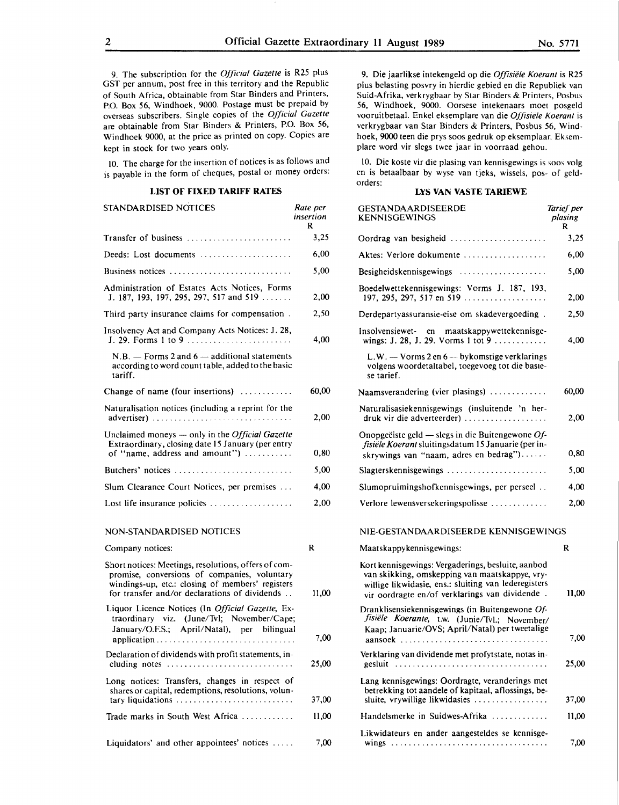9. The subscription for the *Official Gazette* is R25 plus GST per annum, post free in this territory and the Republic of South Africa, obtainable from Star Binders and Printers, P.O. Box 56, Windhoek, 9000. Postage must be prepaid by overseas subscribers. Single copies of the *Official Gazette*  are obtainable from Star Binders & Printers, P.O. Box 56, Windhoek 9000, at the price as printed on copy. Copies are kept in stock for two years only.

10. The charge for the insertion of notices is as follows and is payable in the form of cheques, postal or money orders:

#### **LIST OF FIXED TARIFF RATES**

| STANDARDISED NOTICES                                                                                                                            | Rate per<br>insertion<br>R |
|-------------------------------------------------------------------------------------------------------------------------------------------------|----------------------------|
| Transfer of business                                                                                                                            | 3,25                       |
| Deeds: Lost documents                                                                                                                           | 6,00                       |
| Business notices                                                                                                                                | 5,00                       |
| Administration of Estates Acts Notices, Forms<br>J. 187, 193, 197, 295, 297, 517 and 519                                                        | 2,00                       |
| Third party insurance claims for compensation.                                                                                                  | 2.50                       |
| Insolvency Act and Company Acts Notices: J. 28,                                                                                                 | 4,00                       |
| $N.B.$ – Forms 2 and 6 – additional statements<br>according to word count table, added to the basic<br>tariff.                                  |                            |
| Change of name (four insertions) $\dots\dots\dots$                                                                                              | 60,00                      |
| Naturalisation notices (including a reprint for the                                                                                             | 2,00                       |
| Unclaimed moneys $-$ only in the <i>Official Gazette</i><br>Extraordinary, closing date 15 January (per entry<br>of "name, address and amount") | 0,80                       |
| Butchers' notices                                                                                                                               | 5,00                       |
| Slum Clearance Court Notices, per premises                                                                                                      | 4.00                       |
| Lost life insurance policies $\ldots \ldots \ldots \ldots \ldots$                                                                               | 2,00                       |
| NON-STANDARDISED NOTICES                                                                                                                        |                            |
| Company notices:                                                                                                                                | R                          |
| Short potices: Meetings, resolutions, offers of com-                                                                                            |                            |

Short notices: Meetings, resolutions, offers of compromise, conversions of companies, voluntary windings-up, etc.: closing of members' registers for transfer and/or declarations of dividends . . **11,00**  Liquor Licence Notices (In *Official Gazelle,* Extraordinary viz. (June/Tvl; November/Cape; January/O.F.S.; April/Natal), per bilingual application................................ 7,00 Declaration of dividends with profit statements, including notes . . . . . . . . . . . . . . . . . . . . . . . . . . . . . **25,00**  Long notices: Transfers, changes in respect of shares or capital, redemptions, resolutions, voluntary liquidations . . . . . . . . . . . . . . . . . . . . . . . . . . . 37,00 Trade marks in South West Africa . . . . . . . . . . . . 11,00

Liquidators' and other appointees' notices ..... 7,00

9. Die jaarlikse intekengeld op die *Offisiele Koerant* is R25 plus belasting posvry in hierdie gebied en die Republiek van Suid-Afrika, verkrygbaar by Star Binders & Printers, Posbus 56, Windhoek, 9000. Oorsese intekenaars moet posgeld vooruitbetaal. Enkel eksemplare van die *Offisiele Koerant* is verkrygbaar van Star Binders & Printers, Posbus 56, Windhoek, 9000 teen die prys soos gedruk op eksemplaar. Eksemplare word vir slegs twee jaar in voorraad gehou.

10. Die koste vir die plasing van kennisgewings is soos volg en is betaalbaar by wyse van tjeks, wissels, pos- of geldorders:

#### **LYS VAN VASTE TARIEWE**

| ?r<br>m | <b>GESTANDAARDISEERDE</b><br>KENNISGEWINGS                                                                                                                                                                     | Tarief per<br>plasing<br>R |
|---------|----------------------------------------------------------------------------------------------------------------------------------------------------------------------------------------------------------------|----------------------------|
| 25      | Oordrag van besigheid                                                                                                                                                                                          | 3,25                       |
| 00      | Aktes: Verlore dokumente                                                                                                                                                                                       | 6,00                       |
| 00      | Besigheidskennisgewings                                                                                                                                                                                        | 5,00                       |
| 00      | Boedelwettekennisgewings: Vorms J. 187, 193,<br>197, 295, 297, 517 en 519                                                                                                                                      | 2,00                       |
| 50      | Derdepartyassuransie-eise om skadevergoeding.                                                                                                                                                                  | 2,50                       |
| 00      | Insolvensiewet- en<br>maatskappywettekennisge-                                                                                                                                                                 | 4,00                       |
|         | $L.W. - Vorms 2 en 6 - bykomstige verklarings$<br>volgens woordetaltabel, toegevoeg tot die basie-<br>se tarief.                                                                                               |                            |
| ,00     | Naamsverandering (vier plasings)                                                                                                                                                                               | 60,00                      |
| ,00     | Naturalisasiekennisgewings (insluitende 'n her-<br>druk vir die adverteerder)                                                                                                                                  | 2.00                       |
| ,80     | Onopgeëiste geld $-$ slegs in die Buitengewone Of-<br>fisiële Koerant sluitingsdatum 15 Januarie (per in-<br>skrywings van "naam, adres en bedrag")                                                            | 0,80                       |
| ,00     |                                                                                                                                                                                                                | 5,00                       |
| ,00     | Slumopruimingshofkennisgewings, per perseel                                                                                                                                                                    | 4,00                       |
| .00     | Verlore lewensversekeringspolisse                                                                                                                                                                              | 2,00                       |
|         | NIE-GESTANDAARDISEERDE KENNISGEWINGS                                                                                                                                                                           |                            |
|         | Maatskappykennisgewings:                                                                                                                                                                                       | R                          |
| .00     | Kort kennisgewings: Vergaderings, besluite, aanbod<br>van skikking, omskepping van maatskappye, vry-<br>willige likwidasie, ens.: sluiting van lederegisters<br>vir oordragte en/of verklarings van dividende. | 11,00                      |
| ,00     | Dranklisensiekennisgewings (in Buitengewone Of-<br>fisiële Koerante, t.w. (Junie/Tvl.; November/<br>Kaap; Januarie/OVS; April/Natal) per tweetalige                                                            | 7,00                       |
|         | aansoek                                                                                                                                                                                                        |                            |
| ,00     | Verklaring van dividende met profytstate, notas in-<br>gesluit                                                                                                                                                 | 25,00                      |
| ,00     | Lang kennisgewings: Oordragte, veranderings met<br>betrekking tot aandele of kapitaal, aflossings, be-<br>sluite, vrywillige likwidasies                                                                       | 37,00                      |
| ,00     | Handelsmerke in Suidwes-Afrika                                                                                                                                                                                 | 11,00                      |
| ,00     | Likwidateurs en ander aangesteldes se kennisge-                                                                                                                                                                | 7,00                       |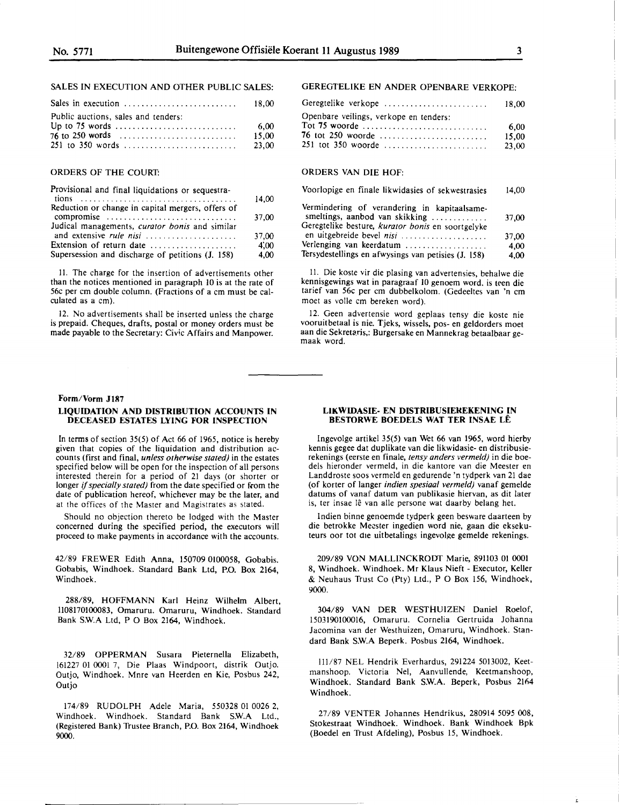#### SALES IN EXECUTION AND OTHER PUBLIC SALES:

| Public auctions, sales and tenders:                                    |        |
|------------------------------------------------------------------------|--------|
| Up to 75 words $\dots \dots \dots \dots \dots \dots \dots \dots \dots$ | - 6.00 |
| 76 to 250 words                                                        | 15.00  |
|                                                                        | 23.00  |

#### ORDERS OF THE COURT:

| Provisional and final liquidations or sequestra-  |       |
|---------------------------------------------------|-------|
| Reduction or change in capital mergers, offers of | 14,00 |
| compromise                                        | 37,00 |
| Judical managements, curator bonis and similar    |       |
| and extensive rule nisi                           | 37.00 |
| Extension of return date                          | 4,00  |
| Supersession and discharge of petitions (J. 158)  | 4,00  |

11. The charge for the insertion of advertisements other than the notices mentioned in paragraph 10 is at the rate of 56c per cm double column. (Fractions of a cm must be calculated as a cm).

12. No advertisements shall be inserted unless the charge is prepaid. Cheques, drafts, postal or money orders must be made payable to the Secretary: Civic Affairs and Manpower.

#### **Form/Vorm J187**

#### **LIQUIDATION AND DISTRIBUTION ACCOUNTS IN DECEASED ESTATES LYING FOR INSPECTION**

In terms of section  $35(5)$  of Act 66 of 1965, notice is hereby given that copies of the liquidation and distribution accounts (first and final, *unless otherwise stated)* in the estates specified below will be open for the inspection of all persons interested therein for a period of 21 days (or shorter or longer *if specially stated*) from the date specified or from the date of publication hereof, whichever may be the later, and at the offices of the Master and Magistrates as stated.

Should no objection thereto be lodged with the Master concerned during the specified period, the executors will proceed to make payments in accordance with the accounts.

42/89 FREWER Edith Anna, 150709 0100058, Gobabis. Gobabis, Windhoek. Standard Bank Ltd, P.O. Box 2164, Windhoek.

288/89, HOFFMANN Karl Heinz Wilhelm Albert, 1108170100083, Omaruru. Omaruru, Windhoek. Standard Bank S.W.A Ltd, P O Box 2164, Windhoek.

32/89 OPPERMAN Susara Pieternella Elizabeth, 161227 01 0001 7, Die Plaas Windpoort, distrik Outjo. Outjo, Windhoek. Mnre van Heerden en Kie, Posbus 242, Outjo

174/89 RUDOLPH Adele Maria, 550328 01 0026 2, Windhoek. Windhoek. Standard Bank S.W.A Ltd., (Registered Bank) Trustee Branch, P.O. Box 2164, Windhoek 9000.

#### GEREGTELIKE EN ANDER OPENBARE VERKOPE:

| Geregtelike verkope                                      | 18.00                  |
|----------------------------------------------------------|------------------------|
| Openbare veilings, verkope en tenders:                   |                        |
| Tot 75 woorde<br>76 tot 250 woorde<br>251 tot 350 woorde | 6.00<br>15.00<br>23.00 |

#### ORDERS VAN DIE HOF:

| Voorlopige en finale likwidasies of sekwestrasies                                                                                   | 14,00 |
|-------------------------------------------------------------------------------------------------------------------------------------|-------|
| Vermindering of verandering in kapitaalsame-<br>smeltings, aanbod van skikking<br>Geregtelike besture, kurator bonis en soortgelyke | 37.00 |
| en uitgebreide bevel nisi                                                                                                           | 37,00 |
| Verlenging van keerdatum                                                                                                            | 4.00  |
| Tersydestellings en afwysings van petisies (J. 158)                                                                                 | 4,00  |

11. Die koste vir die plasing van advertensies, behalwe die kennisgewings wat in paragraaf 10 genoem word. is teen die tarief van 56c per cm dubbelkolom. (Gedeeltes van 'n cm moet as voile cm bereken word).

12. Geen advertensie word geplaas tensy die koste nie vooruitbetaal is nie. Tjeks, wissels, pos- en geldorders moet aan die Sekretaris,: Burgersake en Mannekrag betaalbaar gemaak word.

#### **LIKWIDASIE- EN DISTRIBUSIEKEKENING IN BESTORWE BOEDELS WAT TER INSAE LE**

lngevolge artikel 35(5) van Wet 66 van 1965, word hierby kennis gegee dat duplikate van die likwidasie- en distribusierekenings (eerste en finale, *tensy anders vermeld)* in die boedels hieronder vermeld, in die kantore van die Meester en Landdroste soos vermeld en gedurende 'n tydperk van 21 dae (of korter of !anger *indien spesiaal vermeld)* vanaf gemelde datums of vanaf datum van publikasie hiervan, as dit later is, ter insae lê van alle persone wat daarby belang het.

Indien binne genoemde tydperk geen besware daarteen by die betrokke Meester ingedien word nie, gaan die eksekuteurs oor tot die uitbetalings ingevolge gemelde rekenings.

209/89 **VON MALLINCKRODT** Marie, 891103 01 0001 8, Windhoek. Windhoek. Mr Klaus Nieft - Executor, Keller & Neuhaus Trust Co (Pty) Ltd., P O Box 156, Windhoek, **9000.** 

304/89 VAN DER WESTHUIZEN Daniel Roelof, 1503190100016, Omaruru. Cornelia Gertruida Johanna Jacomina van der Westhuizen, Omaruru, Windhoek. Standard Bank **S.W.A** Beperk. Posbus 2164, Windhoek.

111/87 NEL Hendrik Everhardus, 291224 5013002, Keetmanshoop. Victoria Ne!, Aanvullende, Keetmanshoop, Windhoek. Standard Bank **S.W.A.** Beperk, Posbus 2164 Windhoek.

27/89 VENTER Johannes Hendrikus, 280914 *5095* 008, Stokestraat Windhoek. Windhoek. Bank Windhoek Bpk (Boedel en Trust Afdeling), Posbus 15, Windhoek.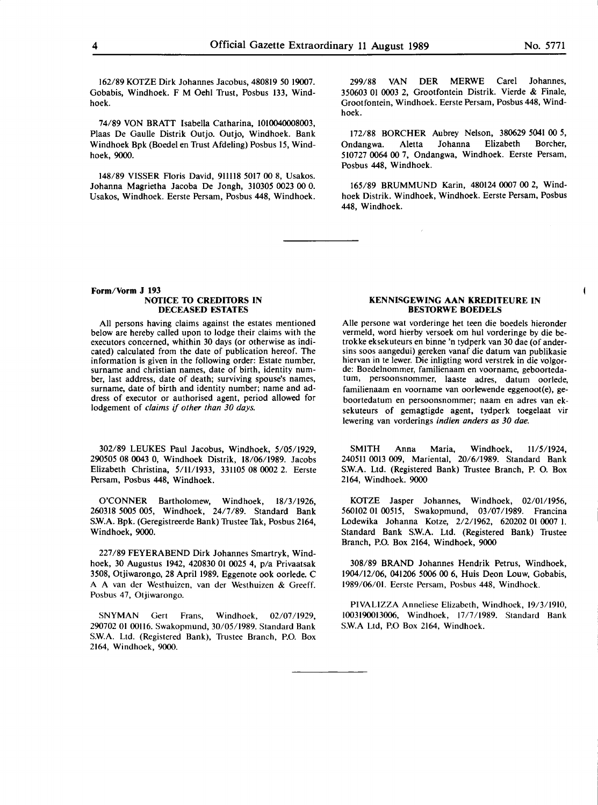$\blacksquare$ 

162/89 KOTZE Dirk Johannes Jacobus, 480819 *50* 19007. Gobabis, Windhoek. F M Oehl Trust, Posbus 133, Windhoek.

74/89 VON BRATT Isabella Catharina, 1010040008003, Plaas De Gaulle Distrik Outjo. Outjo, Windhoek. Bank Windhoek Bpk (Boedel en Trust Afdeling) Posbus 15, Windhoek, 9000.

148/89 VISSER Floris David, 911118 5017 00 8, Usakos. Johanna Magrietha Jacoba De Jongh, 310305 0023 00 0. Usakos, Windhoek. Eerste Persam, Posbus 448, Windhoek.

299/88 VAN DER MERWE Carel Johannes, 350603 OJ 0003 2, Grootfontein Distrik. Vierde & Finale, Grootfontein, Windhoek. Eerste Persam, Posbus 448, Windhoek.

172/88 BORCHER Aubrey Nelson, 380629 5041 00 *5,*  Ondangwa. Aletta Johanna Elizabeth Borcher, 510727 0064 00 7, Ondangwa, Windhoek. Eerste Persam, Posbus 448, Windhoek.

165/89 BRUMMUND Karin, 480124 0007 00 2, Windhoek Distrik. Windhoek, Windhoek. Eerste Persam, Posbus 448, Windhoek.

#### **Form/Vorm J 193 NOTICE 10 CREDIIDRS IN DECEASED ESTATES**

**All** persons having claims against the estates mentioned below are hereby called upon to lodge their claims with the executors concerned, whithin 30 days (or otherwise as indicated) calculated from the date of publication hereof. The information is given in the following order: Estate number, surname and christian names, date of birth, identity number, last address, date of death; surviving spouse's names, surname, date of birth and identity number; name and address of executor or authorised agent, period allowed for lodgement of *claims* if *other than 30 days.* 

302/89 LEUKES Paul Jacobus, Windhoek, 5/05/1929, 290505 08 0043 0, Windhoek Distrik, 18/06/1989. Jacobs Elizabeth Christina, 5/11/1933, 331105 08 0002 2. Eerste Persam, Posbus 448, Windhoek.

O'CONNER Bartholomew, Windhoek, 18/3/1926, 260318 *5005* 005, Windhoek, 24/7/89. Standard Bank S.W.A. Bpk. (Geregistreerde Bank) Trustee Tak, Posbus 2164, Windhoek, 9000.

227 /89 FEYERABEND Dirk Johannes Smartryk, Windhoek, 30 Augustus 1942, 420830 01 0025 4, p/a Privaatsak 3508, Otjiwarongo, 28 April 1989. Eggenote ook oorlede. C **A A** van der Westhuizen, van der Westhuizen & Greeff. Posbus 47, Otjiwarongo.

**SNYMAN** Gert Frans, Windhoek, 02/07/1929, 290702 01 00116. Swakopmund, 30/05/1989. Standard Bank **S.W.A.** Ltd. (Registered Bank), Trustee Branch, P.O. Box 2164, Windhoek, 9000.

#### **KENNISGEWING AAN KREDITEURE IN BESIDRWE BOEDELS**

Aile persone wat vorderinge het teen die boedels hieronder vermeld, word hierby versoek om hul vorderinge by die betrokke eksekuteurs en binne 'n tydperk van 30 dae (of andersins soos aangedui) gereken vanaf die datum van publikasie hiervan in te lewer. Die inligting word verstrek in die volgorde: Boedelnommer, familienaam en voorname, geboortedatum, persoonsnommer, laaste adres, datum oorlede, familienaam en voorname van oorlewende eggenoot(e), geboortedatum en persoonsnommer; naam en adres van eksekuteurs of gemagtigde agent, tydperk toegelaat vir lewering van vorderings *indien anders as 30 doe.* 

SMITH Anna Maria, Windhoek, 11/5/1924, 240511 0013 009, Mariental, 20/6/1989. Standard Bank S.W.A. Ltd. (Registered Bank) Trustee Branch, P. 0. Box 2164, Windhoek. 9000

KOTZE Jasper Johannes, Windhoek, 02/01/1956, 560102 01 00515, Swakopmund, 03/07/1989. Francina Lodewika Johanna Kotze, 2/2/1962, 620202 01 0007 I. Standard Bank S.W.A. Ltd. (Registered Bank) Trustee Branch, P.O. Box 2164, Windhoek, 9000

308/89 BRAND Johannes Hendrik Petrus, Windhoek, 1904/12/06, 041206 5006 00 6, Huis Deon Louw, Gobabis, 1989/06/01. Eerste Persam, Posbus 448, Windhoek.

PIVALIZZA Anneliese Elizabeth, Windhoek, 19/3/1910, 1003190013006, Windhoek, 17/7/1989. Standard Bank S.W.A Ltd, P.O Box 2164, Windhoek.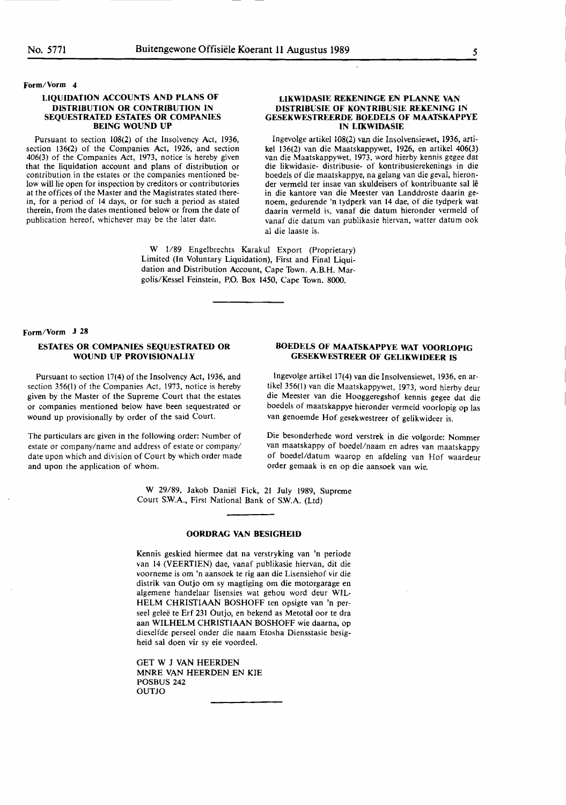#### **Form/Vorm 4**

#### **LIQUIDATION ACCOUNTS AND PLANS OF DISTRIBUTION OR CONTRIBUTION IN SEQUESTRATED ESTATES OR COMPANIES BEING WOUND UP**

Pursuant to section 108(2) of the Insolvency Act, 1936, section 136(2) of the Companies Act, 1926, and section 406(3) of the Companies Act, 1973, notice is hereby given contribution in the estates or the companies mentioned below will lie open for inspection by creditors or contributories at the offices of the Master and the Magistrates stated therein, for a period of 14 days, or for such a period as stated therein, from the dates mentioned below or from the date of publication hereof, whichever may be the later date.

#### **LIKWIDASIE REKENINGE EN PLANNE VAN DISTRIBUSIE OF KONTRIBUSIE REKENING IN GESEKWESTREERDE BOEDELS OF MAATSKAPPYE IN LIKWIDASIE**

lngevolge artikel 108(2) van die Insolvensiewet, 1936, arti**kel** 136(2) van die Maatskappywet, 1926, en artikel **406(3)**  van die Maatskappywet, 1973, word hierby kennis gegee dat **die** likwidasie- distribusie- of kontribusierekenings **in die**  boedels of die maatskappye, na gelang van die geval, hieronder vermeld ter insae van skuldeisers of kontribuante sal le in die kantore van die Meester van Landdroste daarin genoem, gedurende 'n tydperk van 14 dae, of die tydperk wat daarin vermeld is, vanaf die datum hieronder vermeld of vanaf die datum van publikasie hiervan, watter datum ook al die laaste is.

**W** 1/89 Engelbrechts Karakul Export (Proprietary) Limited (In Voluntary Liquidation), First and Final Liquidation and Distribution Account, Cape Town. A.B.H. Margolis/Kessel Feinstein, P.O. **Box 1450,** Cape Town. 8000.

#### **Form/Vorm J 28**

#### **ESTATES OR COMPANIES SEQUESTRATED OR WOUND UP PROVISIONALLY**

Pursuant to section 17(4) of the Insolvency Act, 1936, and section 356(1) of the Companies Act, 1973, notice is hereby given by the Master of the Supreme Court that the estates or companies mentioned below have been sequestrated or wound up provisionally by order of the said Court.

The particulars are given in the following order: Number of estate or company/name and address of estate or company/ date upon which and division of Court by which order made and upon the application of whom.

#### **BOEDELS OF MAATSKAPPYE WAT VOORLOPIG GESEKWESTREER OF GELIKWIDEER IS**

lngevolge artikel 17(4) van die Insolvensiewet, 1936, en artikel 356(1) van die Maatskappywet, 1973, word hierby deur die Meester van die Hooggeregshof kennis gegee dat die boedels of maatskappye hieronder vermeld voorlopig op las van genoemde Hof gesekwestreer of gelikwideer is.

Die besonderhede word verstrek in die volgorde: Nommer van maatskappy of boedel/naam en adres van maatskappy of boedel/datum waarop en afdeling van Hof waardeur **order** gemaak is en **op die aansoek** van wie.

**W** 29/89, Jakob Daniel **Fick, 21** July 1989, Supreme Court S.W.A., First National Bank of S.W.A. (Ltd)

#### **OORDRAG VAN BESIGHEID**

Kennis geskied hiermee dat na verstryking van 'n periode van 14 (VEERTIEN) dae, vanaf publikasie hiervan, dit die voorneme is om 'n aansoek te rig aan die Lisensiehof vir die distrik van Outjo om sy magtiging om die motorgarage en algemene handelaar lisensies wat gehou word deur **WIL-**HELM **CHRISTIAAN** BOSHOFF ten opsigte van 'n perseel geleë te Erf 231 Outjo, en bekend as Metotal oor te dra aan WILHELM CHRISTIAAN BOSHOFF wie daarna, op dieselfde perseel onder die naam Etosha Diensstasie besigheid sal doen vir sy eie voordeel.

GET W J VAN HEERDEN MNRE VAN HEERDEN EN KIE POSBUS 242 **OUTIO**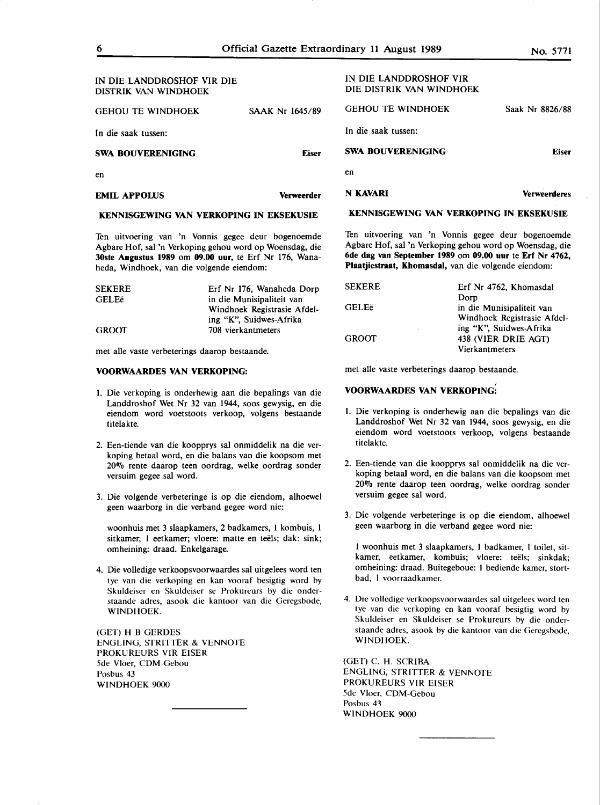| <b>KENNISCEWING VAN VERKOPING IN EKSEKHSIE</b>     |                   | KENNISGEWING VAN VERKOPING IN EKSEKUSIE            |                     |
|----------------------------------------------------|-------------------|----------------------------------------------------|---------------------|
| <b>EMIL APPOLUS</b>                                | <b>Verweerder</b> | <b>N KAVARI</b>                                    | <b>Verweerderes</b> |
| en                                                 |                   | en                                                 |                     |
| SWA BOUVERENIGING                                  | <b>Eiser</b>      | <b>SWA BOUVERENIGING</b>                           | <b>Eiser</b>        |
| In die saak tussen:                                |                   | In die saak tussen:                                |                     |
| GEHOU TE WINDHOEK                                  | SAAK Nr 1645/89   | <b>GEHOU TE WINDHOEK</b>                           | Saak Nr 8826/88     |
| IN DIE LANDDROSHOF VIR DIE<br>DISTRIK VAN WINDHOEK |                   | IN DIE LANDDROSHOF VIR<br>DIE DISTRIK VAN WINDHOEK |                     |

#### **KENNISGEWING VAN VERKOPING IN EKSEKUSIE**

Ten uitvoering van 'n Vonnis gegee deur bogenoemde Agbare Hof, sal 'n Verkoping gehou word op Woensdag, die **30ste Augustus 1989** om **09.00 uur,** te Erf Nr 176, Wanaheda, Windhoek, van die volgende eiendom:

| <b>SEKERE</b> | Erf Nr 176, Wanaheda Dorp   | <b>SEKERE</b> | Erf Nr 4762.           |
|---------------|-----------------------------|---------------|------------------------|
| <b>GELEë</b>  | in die Munisipaliteit van   |               | <b>Dorp</b>            |
|               | Windhoek Registrasie Afdel- | <b>GELEë</b>  | in die Munisi          |
|               | ing "K", Suidwes-Afrika     |               | Windhoek Re            |
| <b>GROOT</b>  | 708 vierkantmeters          |               | ing "K", Suid          |
|               |                             | GROOT         | $438$ (VIED $\Gamma$ ) |

met alle vaste verbeterings daarop bestaande.

#### **VOORWAARDES VAN VERKOPING:**

- I. Die verkoping is onderhewig aan die bepalings van die Landdroshof Wet Nr 32 van 1944, soos gewysig, en die eiendom word voetstoots verkoop, volgens bestaande titelakte.
- 2. Een-tiende van die koopprys sal onmiddelik na die verkoping betaal word, en die balans van die koopsom met 20% rente daarop teen oordrag, welke oordrag sonder versuim gegee sal word.
- 3. Die volgende verbeteringe is op die eiendom, alhoewel geen waarborg in die verband gegee word nie:

woonhuis met 3 slaapkamers, 2 badkamers, I kombuis, I sitkamer, 1 eetkamer; vloere: matte en teëls; dak: sink; omheining: draad. Enkelgarage.

4. Die volledige verkoopsvoorwaardes sal uitgelees word ten tye van die verkoping en kan vooraf besigtig word by Skuldeiser en Skuldeiser se Prokureurs by die onderstaande adres, asook die kantoor van die Geregsbode, **WINDHOEK.** 

(GET) H B GERDES ENGLING, STRITTER & VENNOTE PROKUREURS VIR EISER 5de Vloer, CDM-Gebou Posbus 43 WINDHOEK 9000

Ten uitvoering van 'n Vonnis gegee deur bogenoemde Agbare Hof, sal 'n Verkoping gehou word op Woensdag, die **6de dag van September 1989** om **09.00 uur** te **Erf Nr 4762, Plaatjiestraat, Khomasdal,** van die volgende eiendom:

| <b>SEKERE</b> | Erf Nr 4762, Khomasdal      |
|---------------|-----------------------------|
|               | Dorp                        |
| <b>GELEë</b>  | in die Munisipaliteit van   |
|               | Windhoek Registrasie Afdel- |
|               | ing "K", Suidwes-Afrika     |
| <b>GROOT</b>  | 438 (VIER DRIE AGT)         |
|               | Vierkantmeters              |

met alle vaste verbeterings daarop bestaande.

#### I **VOORWAARDES VAN VERKOPING:**

- I. Die verkoping is onderhewig aan die bepalings van die Landdroshof Wet Nr 32 van 1944, soos gewysig, en die eiendom word voetstoots verkoop, volgens bestaande titelakte.
- 2. Een-tiende van die koopprys sal onmiddelik na die verkoping betaal word, en die balans van die koopsom met 20% rente daarop teen oordrag, welke oordrag sonder versuim gegee sal word.
- 3. Die volgende verbeteringe is op die eiendom, alhoewel geen waarborg in die verband gegee word nie:

I woonhuis met 3 slaapkamers, I badkamer, I toilet, sitkamer, eetkamer, kombuis; vloere: teëls; sinkdak; omheining: draad. Buitegeboue: I bediende kamer, stortbad, I voorraadkamer.

4. Die volledige verkoopsvoorwaardes sal uitgelees word ten tye van die verkoping en kan vooraf besigtig word by Skuldeiser en Skuldeiser se Prokureurs by die onderstaande adres, asook by die kantoor van die Geregsbode, **WINDHOEK.** 

(GET) C. H. **SCRIBA**  ENGLING, STRITTER & VENNOTE PROKUREURS VIR EISER 5de Vloer, CDM-Gebou Posbus 43 **WINDHOEK 9000**